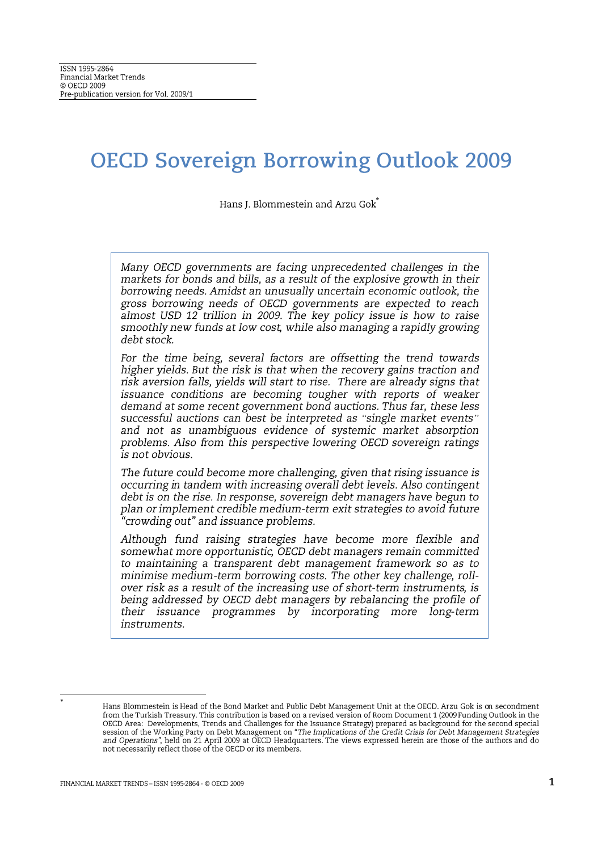# **OECD Sovereign Borrowing Outlook 2009**

Hans J. Blommestein and Arzu Gok

Many OECD governments are facing unprecedented challenges in the markets for bonds and bills, as a result of the explosive growth in their borrowing needs. Amidst an unusually uncertain economic outlook, the gross borrowing needs of OECD governments are expected to reach almost USD 12 trillion in 2009. The key policy issue is how to raise smoothly new funds at low cost, while also managing a rapidly growing debt stock.

For the time being, several factors are offsetting the trend towards higher yields. But the risk is that when the recovery gains traction and risk aversion falls, yields will start to rise. There are already signs that issuance conditions are becoming tougher with reports of weaker demand at some recent government bond auctions. Thus far, these less successful auctions can best be interpreted as "single market events" and not as unambiguous evidence of systemic market absorption problems. Also from this perspective lowering OECD sovereign ratings is not obvious.

The future could become more challenging, given that rising issuance is occurring in tandem with increasing overall debt levels. Also contingent debt is on the rise. In response, sovereign debt managers have begun to plan or implement credible medium-term exit strategies to avoid future "crowding out" and issuance problems.

Although fund raising strategies have become more flexible and somewhat more opportunistic, OECD debt managers remain committed to maintaining a transparent debt management framework so as to minimise medium-term borrowing costs. The other key challenge, rollover risk as a result of the increasing use of short-term instruments, is being addressed by OECD debt managers by rebalancing the profile of their issuance programmes by incorporating more long-term instruments.

Hans Blommestein is Head of the Bond Market and Public Debt Management Unit at the OECD. Arzu Gok is on secondment from the Turkish Treasury. This contribution is based on a revised version of Room Document 1 (2009 Funding Outlook in the OECD Area: Developments, Trends and Challenges for the Issuance Strategy) prepared as background for the second special<br>session of the Working Party on Debt Management on "The Implications of the Credit Crisis for Debt Man and Operations", held on 21 April 2009 at OECD Headquarters. The views expressed herein are those of the authors and do not necessarily reflect those of the OECD or its members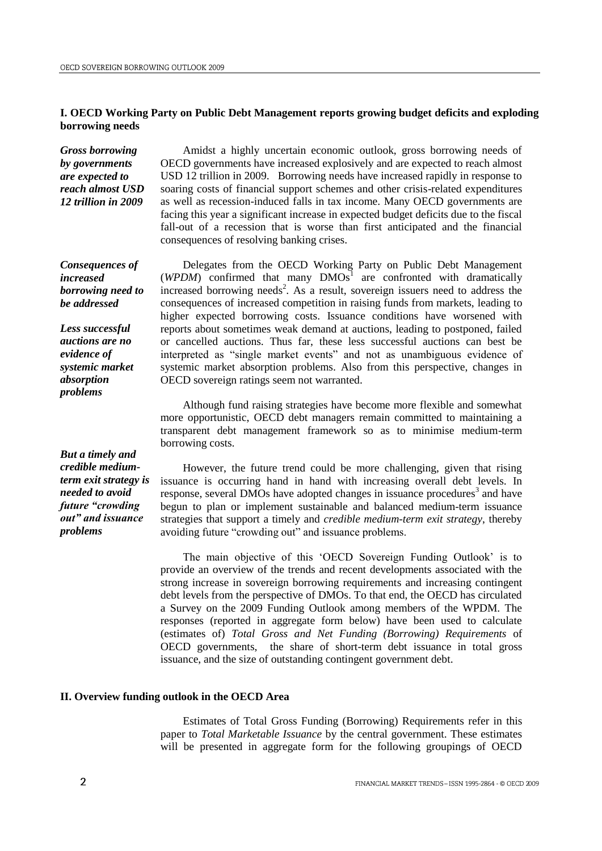# **I. OECD Working Party on Public Debt Management reports growing budget deficits and exploding borrowing needs**

*Gross borrowing by governments are expected to reach almost USD 12 trillion in 2009*

Amidst a highly uncertain economic outlook, gross borrowing needs of OECD governments have increased explosively and are expected to reach almost USD 12 trillion in 2009. Borrowing needs have increased rapidly in response to soaring costs of financial support schemes and other crisis-related expenditures as well as recession-induced falls in tax income. Many OECD governments are facing this year a significant increase in expected budget deficits due to the fiscal fall-out of a recession that is worse than first anticipated and the financial consequences of resolving banking crises.

*Consequences of increased borrowing need to be addressed* 

*Less successful auctions are no evidence of systemic market absorption problems*

*But a timely and credible mediumterm exit strategy is needed to avoid future "crowding out" and issuance problems*

Delegates from the OECD Working Party on Public Debt Management  $(WPDM)$  confirmed that many  $DMOs<sup>1</sup>$  are confronted with dramatically increased borrowing needs<sup>2</sup>. As a result, sovereign issuers need to address the consequences of increased competition in raising funds from markets, leading to higher expected borrowing costs. Issuance conditions have worsened with reports about sometimes weak demand at auctions, leading to postponed, failed or cancelled auctions. Thus far, these less successful auctions can best be interpreted as "single market events" and not as unambiguous evidence of systemic market absorption problems. Also from this perspective, changes in OECD sovereign ratings seem not warranted.

Although fund raising strategies have become more flexible and somewhat more opportunistic, OECD debt managers remain committed to maintaining a transparent debt management framework so as to minimise medium-term borrowing costs.

However, the future trend could be more challenging, given that rising issuance is occurring hand in hand with increasing overall debt levels. In response, several DMOs have adopted changes in issuance procedures<sup>3</sup> and have begun to plan or implement sustainable and balanced medium-term issuance strategies that support a timely and *credible medium-term exit strategy*, thereby avoiding future "crowding out" and issuance problems.

The main objective of this "OECD Sovereign Funding Outlook" is to provide an overview of the trends and recent developments associated with the strong increase in sovereign borrowing requirements and increasing contingent debt levels from the perspective of DMOs. To that end, the OECD has circulated a Survey on the 2009 Funding Outlook among members of the WPDM. The responses (reported in aggregate form below) have been used to calculate (estimates of) *Total Gross and Net Funding (Borrowing) Requirements* of OECD governments, the share of short-term debt issuance in total gross issuance, and the size of outstanding contingent government debt.

# **II. Overview funding outlook in the OECD Area**

Estimates of Total Gross Funding (Borrowing) Requirements refer in this paper to *Total Marketable Issuance* by the central government. These estimates will be presented in aggregate form for the following groupings of OECD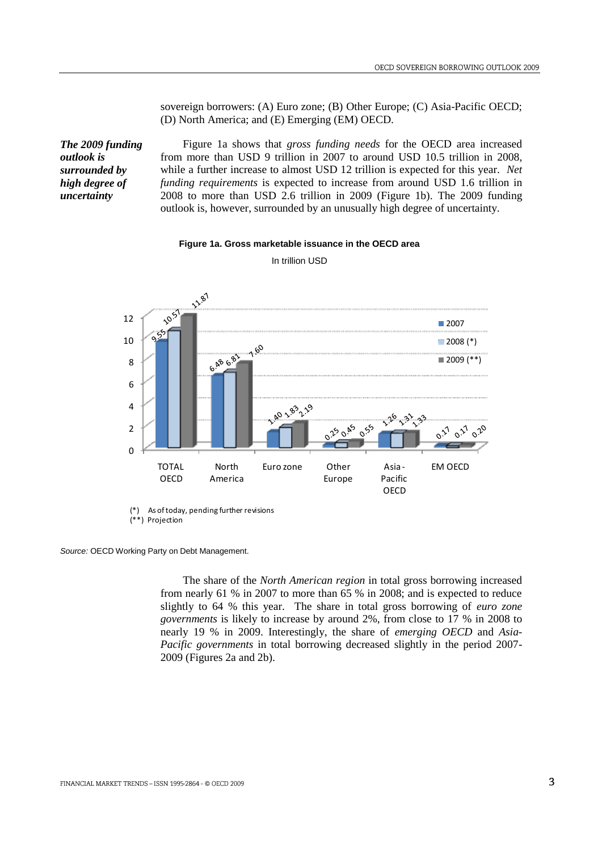sovereign borrowers: (A) Euro zone; (B) Other Europe; (C) Asia-Pacific OECD; (D) North America; and (E) Emerging (EM) OECD.

*The 2009 funding outlook is surrounded by high degree of uncertainty*

Figure 1a shows that *gross funding needs* for the OECD area increased from more than USD 9 trillion in 2007 to around USD 10.5 trillion in 2008, while a further increase to almost USD 12 trillion is expected for this year. *Net funding requirements* is expected to increase from around USD 1.6 trillion in 2008 to more than USD 2.6 trillion in 2009 (Figure 1b). The 2009 funding outlook is, however, surrounded by an unusually high degree of uncertainty.

#### **Figure 1a. Gross marketable issuance in the OECD area**



In trillion USD

(\*) As of today, pending further revisions (\*\*) Projection

*Source:* OECD Working Party on Debt Management.

The share of the *North American region* in total gross borrowing increased from nearly 61 % in 2007 to more than 65 % in 2008; and is expected to reduce slightly to 64 % this year. The share in total gross borrowing of *euro zone governments* is likely to increase by around 2%, from close to 17 % in 2008 to nearly 19 % in 2009. Interestingly, the share of *emerging OECD* and *Asia-Pacific governments* in total borrowing decreased slightly in the period 2007- 2009 (Figures 2a and 2b).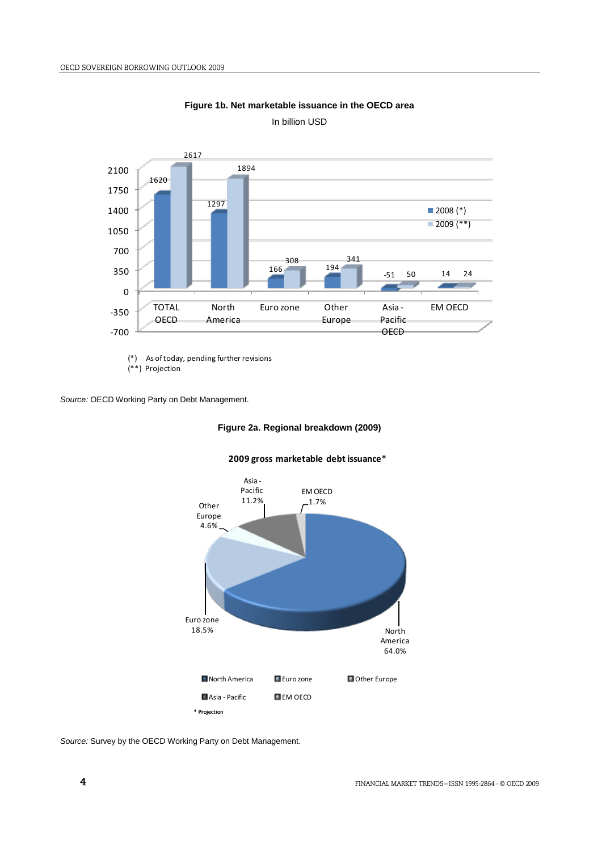

**Figure 1b. Net marketable issuance in the OECD area**



(\*) As of today, pending further revisions

(\*\*) Projection

*Source:* OECD Working Party on Debt Management.

# **Figure 2a. Regional breakdown (2009)**





*Source:* Survey by the OECD Working Party on Debt Management.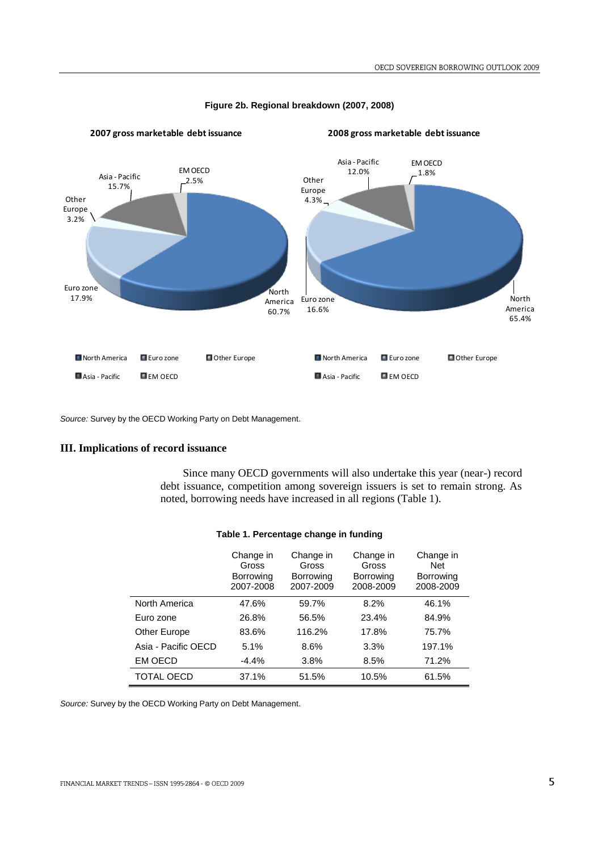

#### **Figure 2b. Regional breakdown (2007, 2008)**

*Source:* Survey by the OECD Working Party on Debt Management.

# **III. Implications of record issuance**

Since many OECD governments will also undertake this year (near-) record debt issuance, competition among sovereign issuers is set to remain strong. As noted, borrowing needs have increased in all regions (Table 1).

|                     | Change in<br>Gross<br>Borrowing<br>2007-2008 | Change in<br>Gross<br><b>Borrowing</b><br>2007-2009 | Change in<br>Gross<br><b>Borrowing</b><br>2008-2009 | Change in<br><b>Net</b><br><b>Borrowing</b><br>2008-2009 |
|---------------------|----------------------------------------------|-----------------------------------------------------|-----------------------------------------------------|----------------------------------------------------------|
| North America       | 47.6%                                        | 59.7%                                               | 8.2%                                                | 46.1%                                                    |
| Euro zone           | 26.8%                                        | 56.5%                                               | 23.4%                                               | 84.9%                                                    |
| Other Europe        | 83.6%                                        | 116.2%                                              | 17.8%                                               | 75.7%                                                    |
| Asia - Pacific OECD | 5.1%                                         | 8.6%                                                | 3.3%                                                | 197.1%                                                   |
| EM OECD             | $-4.4\%$                                     | 3.8%                                                | 8.5%                                                | 71.2%                                                    |
| TOTAL OECD          | 37.1%                                        | 51.5%                                               | 10.5%                                               | 61.5%                                                    |

# **Table 1. Percentage change in funding**

*Source:* Survey by the OECD Working Party on Debt Management.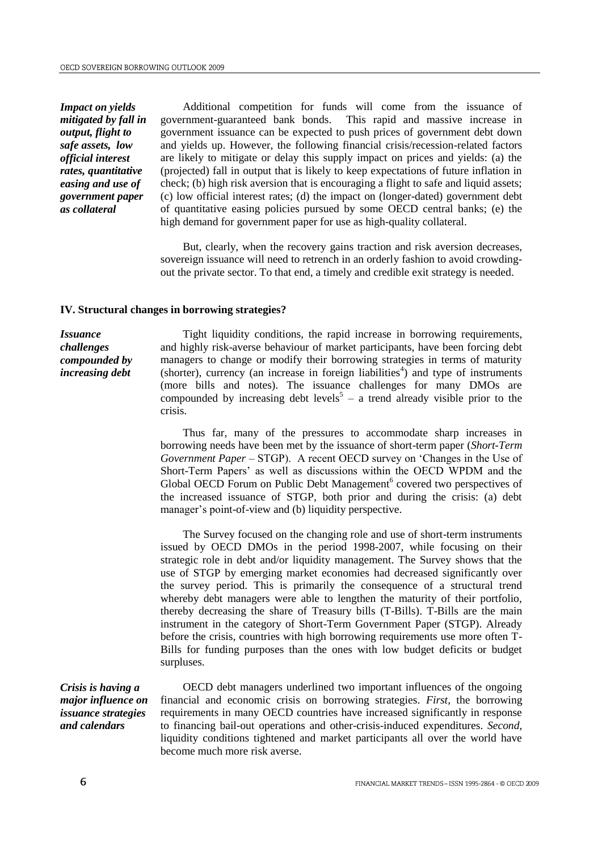*Impact on yields mitigated by fall in output, flight to safe assets, low official interest rates, quantitative easing and use of government paper as collateral* 

Additional competition for funds will come from the issuance of government-guaranteed bank bonds. This rapid and massive increase in government issuance can be expected to push prices of government debt down and yields up. However, the following financial crisis/recession-related factors are likely to mitigate or delay this supply impact on prices and yields: (a) the (projected) fall in output that is likely to keep expectations of future inflation in check; (b) high risk aversion that is encouraging a flight to safe and liquid assets; (c) low official interest rates; (d) the impact on (longer-dated) government debt of quantitative easing policies pursued by some OECD central banks; (e) the high demand for government paper for use as high-quality collateral.

But, clearly, when the recovery gains traction and risk aversion decreases, sovereign issuance will need to retrench in an orderly fashion to avoid crowdingout the private sector. To that end, a timely and credible exit strategy is needed.

# **IV. Structural changes in borrowing strategies?**

*Issuance challenges compounded by increasing debt* 

Tight liquidity conditions, the rapid increase in borrowing requirements, and highly risk-averse behaviour of market participants, have been forcing debt managers to change or modify their borrowing strategies in terms of maturity  $(s$ horter), currency (an increase in foreign liabilities<sup>4</sup>) and type of instruments (more bills and notes). The issuance challenges for many DMOs are compounded by increasing debt levels<sup>5</sup> – a trend already visible prior to the crisis.

Thus far, many of the pressures to accommodate sharp increases in borrowing needs have been met by the issuance of short-term paper (*Short-Term Government Paper* – STGP). A recent OECD survey on "Changes in the Use of Short-Term Papers" as well as discussions within the OECD WPDM and the Global OECD Forum on Public Debt Management<sup>6</sup> covered two perspectives of the increased issuance of STGP, both prior and during the crisis: (a) debt manager's point-of-view and (b) liquidity perspective.

The Survey focused on the changing role and use of short-term instruments issued by OECD DMOs in the period 1998-2007, while focusing on their strategic role in debt and/or liquidity management. The Survey shows that the use of STGP by emerging market economies had decreased significantly over the survey period. This is primarily the consequence of a structural trend whereby debt managers were able to lengthen the maturity of their portfolio, thereby decreasing the share of Treasury bills (T-Bills). T-Bills are the main instrument in the category of Short-Term Government Paper (STGP). Already before the crisis, countries with high borrowing requirements use more often T-Bills for funding purposes than the ones with low budget deficits or budget surpluses.

*Crisis is having a major influence on issuance strategies and calendars* 

OECD debt managers underlined two important influences of the ongoing financial and economic crisis on borrowing strategies. *First*, the borrowing requirements in many OECD countries have increased significantly in response to financing bail-out operations and other-crisis-induced expenditures. *Second*, liquidity conditions tightened and market participants all over the world have become much more risk averse.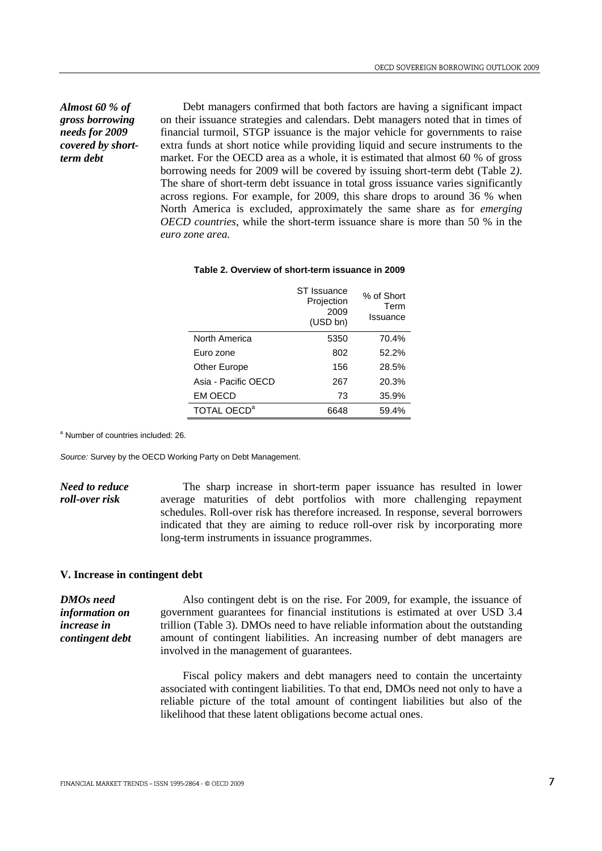*Almost 60 % of gross borrowing needs for 2009 covered by shortterm debt*

Debt managers confirmed that both factors are having a significant impact on their issuance strategies and calendars. Debt managers noted that in times of financial turmoil, STGP issuance is the major vehicle for governments to raise extra funds at short notice while providing liquid and secure instruments to the market. For the OECD area as a whole, it is estimated that almost 60 % of gross borrowing needs for 2009 will be covered by issuing short-term debt (Table 2*)*. The share of short-term debt issuance in total gross issuance varies significantly across regions. For example, for 2009, this share drops to around 36 % when North America is excluded, approximately the same share as for *emerging OECD countries*, while the short-term issuance share is more than 50 % in the *euro zone area.* 

## **Table 2. Overview of short-term issuance in 2009**

|                         | ST Issuance<br>Projection<br>2009<br>(USD bn) | % of Short<br>Term<br>Issuance |
|-------------------------|-----------------------------------------------|--------------------------------|
| North America           | 5350                                          | 70.4%                          |
| Euro zone               | 802                                           | 52.2%                          |
| Other Europe            | 156                                           | 28.5%                          |
| Asia - Pacific OECD     | 267                                           | 20.3%                          |
| <b>EM OECD</b>          | 73                                            | 35.9%                          |
| TOTAL OECD <sup>a</sup> | 6648                                          | 59.4%                          |

<sup>a</sup> Number of countries included: 26.

*Source:* Survey by the OECD Working Party on Debt Management.

*Need to reduce roll-over risk*  The sharp increase in short-term paper issuance has resulted in lower average maturities of debt portfolios with more challenging repayment schedules. Roll-over risk has therefore increased. In response, several borrowers indicated that they are aiming to reduce roll-over risk by incorporating more long-term instruments in issuance programmes.

## **V. Increase in contingent debt**

*DMOs need information on increase in contingent debt* 

Also contingent debt is on the rise. For 2009, for example, the issuance of government guarantees for financial institutions is estimated at over USD 3.4 trillion (Table 3). DMOs need to have reliable information about the outstanding amount of contingent liabilities. An increasing number of debt managers are involved in the management of guarantees.

Fiscal policy makers and debt managers need to contain the uncertainty associated with contingent liabilities. To that end, DMOs need not only to have a reliable picture of the total amount of contingent liabilities but also of the likelihood that these latent obligations become actual ones.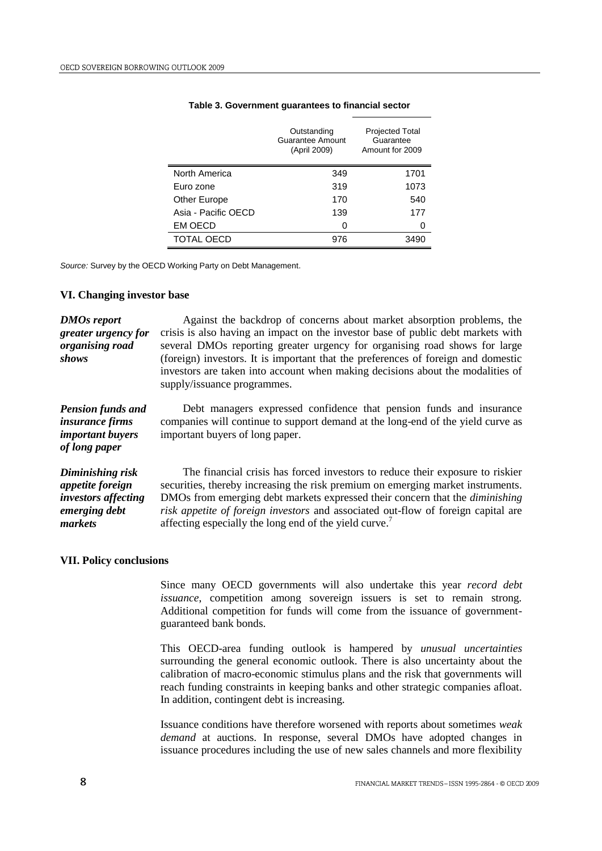|                     | Outstanding<br>Guarantee Amount<br>(April 2009) | <b>Projected Total</b><br>Guarantee<br>Amount for 2009 |
|---------------------|-------------------------------------------------|--------------------------------------------------------|
| North America       | 349                                             | 1701                                                   |
| Euro zone           | 319                                             | 1073                                                   |
| Other Europe        | 170                                             | 540                                                    |
| Asia - Pacific OECD | 139                                             | 177                                                    |
| <b>EM OECD</b>      | 0                                               | 0                                                      |
| <b>TOTAL OECD</b>   | 976                                             | 3490                                                   |

## **Table 3. Government guarantees to financial sector**

*Source:* Survey by the OECD Working Party on Debt Management.

## **VI. Changing investor base**

*DMOs report greater urgency for organising road shows*  Against the backdrop of concerns about market absorption problems, the crisis is also having an impact on the investor base of public debt markets with several DMOs reporting greater urgency for organising road shows for large (foreign) investors. It is important that the preferences of foreign and domestic investors are taken into account when making decisions about the modalities of supply/issuance programmes.

*Pension funds and insurance firms important buyers of long paper*  Debt managers expressed confidence that pension funds and insurance companies will continue to support demand at the long-end of the yield curve as important buyers of long paper.

*Diminishing risk appetite foreign investors affecting emerging debt markets* The financial crisis has forced investors to reduce their exposure to riskier securities, thereby increasing the risk premium on emerging market instruments. DMOs from emerging debt markets expressed their concern that the *diminishing risk appetite of foreign investors* and associated out-flow of foreign capital are affecting especially the long end of the yield curve.<sup>7</sup>

#### **VII. Policy conclusions**

Since many OECD governments will also undertake this year *record debt issuance*, competition among sovereign issuers is set to remain strong. Additional competition for funds will come from the issuance of governmentguaranteed bank bonds.

This OECD-area funding outlook is hampered by *unusual uncertainties* surrounding the general economic outlook. There is also uncertainty about the calibration of macro-economic stimulus plans and the risk that governments will reach funding constraints in keeping banks and other strategic companies afloat. In addition, contingent debt is increasing.

Issuance conditions have therefore worsened with reports about sometimes *weak demand* at auctions. In response, several DMOs have adopted changes in issuance procedures including the use of new sales channels and more flexibility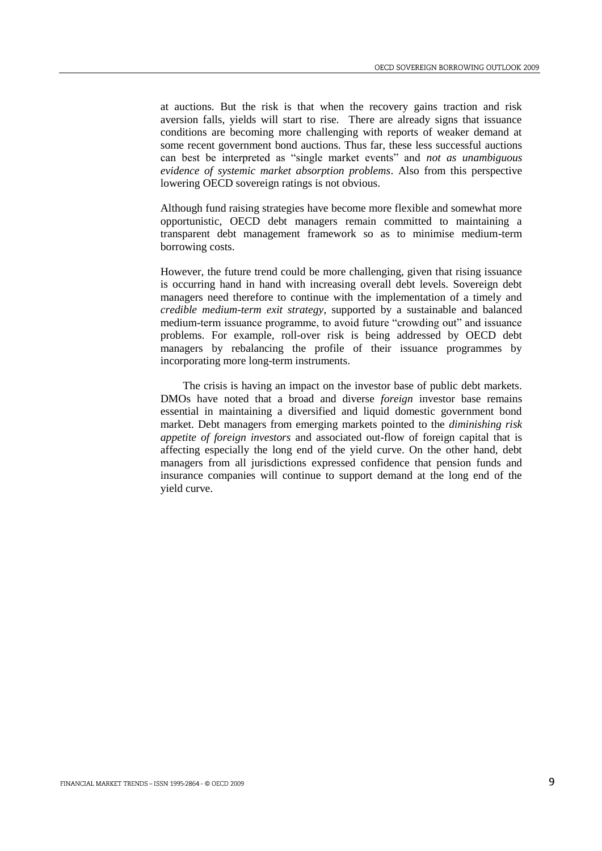at auctions. But the risk is that when the recovery gains traction and risk aversion falls, yields will start to rise. There are already signs that issuance conditions are becoming more challenging with reports of weaker demand at some recent government bond auctions. Thus far, these less successful auctions can best be interpreted as "single market events" and *not as unambiguous evidence of systemic market absorption problems*. Also from this perspective lowering OECD sovereign ratings is not obvious.

Although fund raising strategies have become more flexible and somewhat more opportunistic, OECD debt managers remain committed to maintaining a transparent debt management framework so as to minimise medium-term borrowing costs.

However, the future trend could be more challenging, given that rising issuance is occurring hand in hand with increasing overall debt levels. Sovereign debt managers need therefore to continue with the implementation of a timely and *credible medium-term exit strategy*, supported by a sustainable and balanced medium-term issuance programme, to avoid future "crowding out" and issuance problems. For example, roll-over risk is being addressed by OECD debt managers by rebalancing the profile of their issuance programmes by incorporating more long-term instruments.

The crisis is having an impact on the investor base of public debt markets. DMOs have noted that a broad and diverse *foreign* investor base remains essential in maintaining a diversified and liquid domestic government bond market. Debt managers from emerging markets pointed to the *diminishing risk appetite of foreign investors* and associated out-flow of foreign capital that is affecting especially the long end of the yield curve. On the other hand, debt managers from all jurisdictions expressed confidence that pension funds and insurance companies will continue to support demand at the long end of the yield curve.